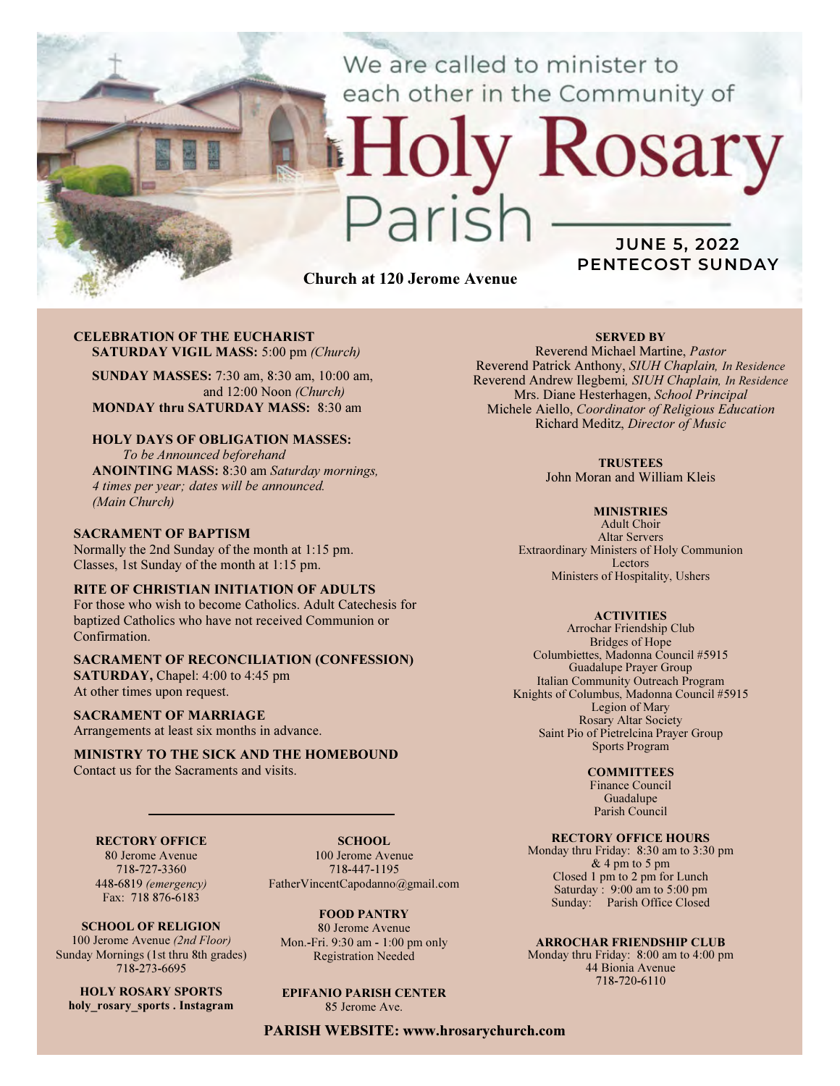We are called to minister to each other in the Community of

Church at 120 Jerome Avenue

# CELEBRATION OF THE EUCHARIST SATURDAY VIGIL MASS: 5:00 pm (Church)

SUNDAY MASSES: 7:30 am, 8:30 am, 10:00 am, and 12:00 Noon (Church) MONDAY thru SATURDAY MASS: 8:30 am

### HOLY DAYS OF OBLIGATION MASSES:

To be Announced beforehand ANOINTING MASS: 8:30 am Saturday mornings, 4 times per year; dates will be announced. (Main Church)

#### SACRAMENT OF BAPTISM

Normally the 2nd Sunday of the month at 1:15 pm. Classes, 1st Sunday of the month at 1:15 pm.

#### RITE OF CHRISTIAN INITIATION OF ADULTS

For those who wish to become Catholics. Adult Catechesis for baptized Catholics who have not received Communion or Confirmation.

## SACRAMENT OF RECONCILIATION (CONFESSION)

SATURDAY, Chapel: 4:00 to 4:45 pm At other times upon request.

#### SACRAMENT OF MARRIAGE

Arrangements at least six months in advance.

#### MINISTRY TO THE SICK AND THE HOMEBOUND Contact us for the Sacraments and visits.

#### RECTORY OFFICE

80 Jerome Avenue 718-727-3360 448-6819 (emergency) Fax: 718 876-6183

SCHOOL OF RELIGION 100 Jerome Avenue (2nd Floor) Sunday Mornings (1st thru 8th grades) 718-273-6695

HOLY ROSARY SPORTS holy rosary sports . Instagram

SCHOOL. 100 Jerome Avenue 718-447-1195 FatherVincentCapodanno@gmail.com

FOOD PANTRY 80 Jerome Avenue Mon.-Fri. 9:30 am - 1:00 pm only Registration Needed

EPIFANIO PARISH CENTER 85 Jerome Ave.

PARISH WEBSITE: www.hrosarychurch.com

#### SERVED BY

JUNE 5, 2022 PENTECOST SUNDAY

Rosary

Reverend Michael Martine, Pastor Reverend Patrick Anthony, SIUH Chaplain, In Residence Reverend Andrew Ilegbemi, SIUH Chaplain, In Residence Mrs. Diane Hesterhagen, School Principal Michele Aiello, Coordinator of Religious Education Richard Meditz, Director of Music

#### **TRUSTEES**

John Moran and William Kleis

#### **MINISTRIES**

Adult Choir Altar Servers Extraordinary Ministers of Holy Communion Lectors Ministers of Hospitality, Ushers

#### **ACTIVITIES**

Arrochar Friendship Club Bridges of Hope Columbiettes, Madonna Council #5915 Guadalupe Prayer Group Italian Community Outreach Program Knights of Columbus, Madonna Council #5915 Legion of Mary Rosary Altar Society Saint Pio of Pietrelcina Prayer Group Sports Program

#### **COMMITTEES**

Finance Council Guadalupe Parish Council

#### RECTORY OFFICE HOURS

Monday thru Friday: 8:30 am to 3:30 pm & 4 pm to 5 pm Closed 1 pm to 2 pm for Lunch Saturday:  $9:00 \text{ am to } 5:00 \text{ pm}$ Sunday: Parish Office Closed

#### ARROCHAR FRIENDSHIP CLUB

Monday thru Friday: 8:00 am to 4:00 pm 44 Bionia Avenue 718-720-6110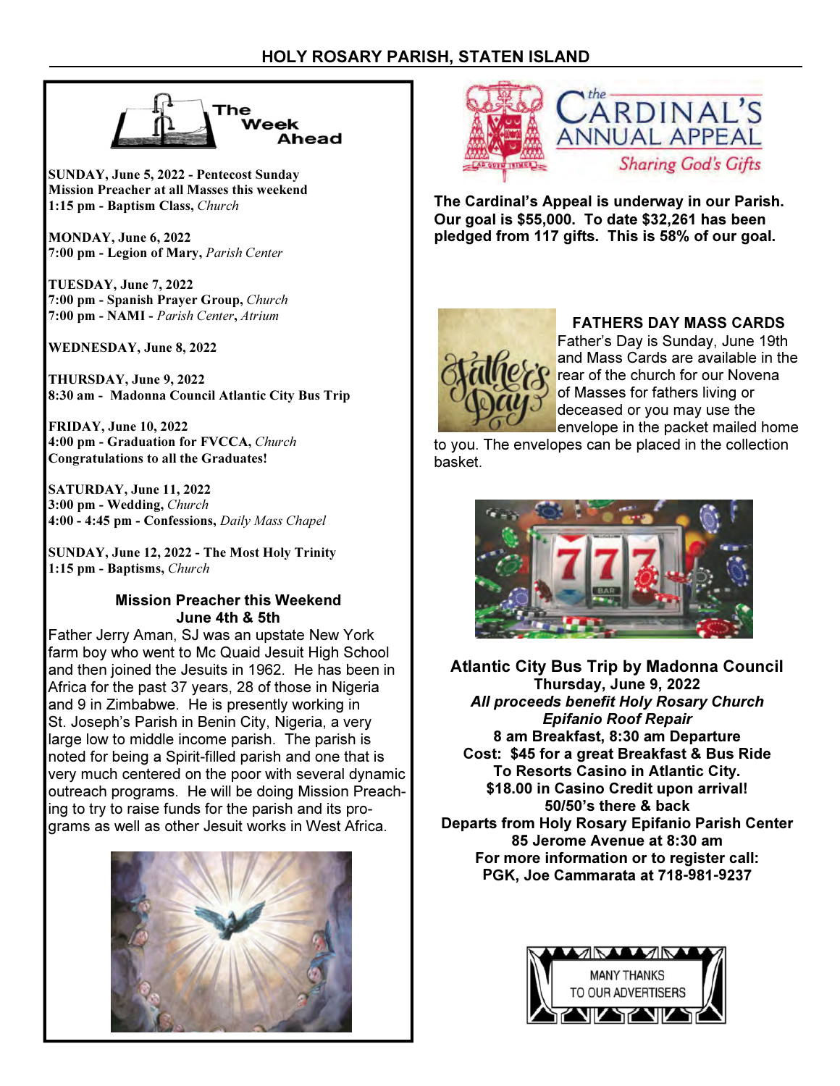

SUNDAY, June 5, 2022 - Pentecost Sunday Mission Preacher at all Masses this weekend 1:15 pm - Baptism Class, Church

MONDAY, June 6, 2022 7:00 pm - Legion of Mary, Parish Center

TUESDAY, June 7, 2022 7:00 pm - Spanish Prayer Group, Church 7:00 pm - NAMI - Parish Center, Atrium

WEDNESDAY, June 8, 2022

THURSDAY, June 9, 2022 8:30 am - Madonna Council Atlantic City Bus Trip

FRIDAY, June 10, 2022 4:00 pm - Graduation for FVCCA, Church Congratulations to all the Graduates!

SATURDAY, June 11, 2022 3:00 pm - Wedding, Church 4:00 - 4:45 pm - Confessions, Daily Mass Chapel

SUNDAY, June 12, 2022 - The Most Holy Trinity 1:15 pm - Baptisms, Church

# Mission Preacher this Weekend June 4th & 5th

Father Jerry Aman, SJ was an upstate New York farm boy who went to Mc Quaid Jesuit High School and then joined the Jesuits in 1962. He has been in Africa for the past 37 years, 28 of those in Nigeria and 9 in Zimbabwe. He is presently working in St. Joseph's Parish in Benin City, Nigeria, a very large low to middle income parish. The parish is noted for being a Spirit-filled parish and one that is very much centered on the poor with several dynamic outreach programs. He will be doing Mission Preaching to try to raise funds for the parish and its programs as well as other Jesuit works in West Africa.





The Cardinal's Appeal is underway in our Parish. Our goal is \$55,000. To date \$32,261 has been pledged from 117 gifts. This is 58% of our goal.



# FATHERS DAY MASS CARDS

Father's Day is Sunday, June 19th and Mass Cards are available in the rear of the church for our Novena of Masses for fathers living or deceased or you may use the envelope in the packet mailed home

to you. The envelopes can be placed in the collection basket.



Atlantic City Bus Trip by Madonna Council Thursday, June 9, 2022 All proceeds benefit Holy Rosary Church Epifanio Roof Repair 8 am Breakfast, 8:30 am Departure Cost: \$45 for a great Breakfast & Bus Ride To Resorts Casino in Atlantic City. \$18.00 in Casino Credit upon arrival! 50/50's there & back Departs from Holy Rosary Epifanio Parish Center 85 Jerome Avenue at 8:30 am For more information or to register call: PGK, Joe Cammarata at 718-981-9237

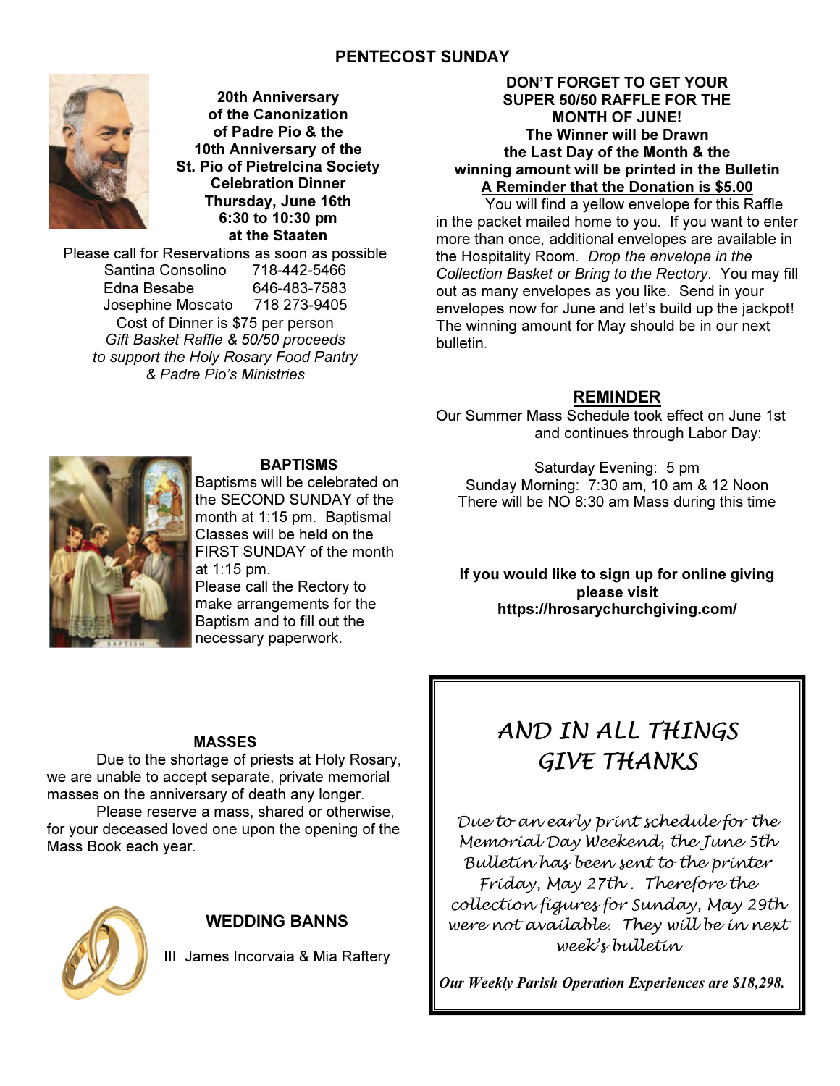

20th Anniversary of the Canonization of Padre Pio & the 10th Anniversary of the St. Pio of Pietrelcina Society Celebration Dinner Thursday, June 16th 6:30 to 10:30 pm at the Staaten

Please call for Reservations as soon as possible Santina Consolino 718-442-5466 Edna Besabe 646-483-7583 Josephine Moscato 718 273-9405 Cost of Dinner is \$75 per person Gift Basket Raffle & 50/50 proceeds to support the Holy Rosary Food Pantry & Padre Pio's Ministries

# DON'T FORGET TO GET YOUR SUPER 50/50 RAFFLE FOR THE MONTH OF JUNE! The Winner will be Drawn the Last Day of the Month & the winning amount will be printed in the Bulletin A Reminder that the Donation is \$5.00

 You will find a yellow envelope for this Raffle in the packet mailed home to you. If you want to enter more than once, additional envelopes are available in the Hospitality Room. Drop the envelope in the Collection Basket or Bring to the Rectory. You may fill out as many envelopes as you like. Send in your envelopes now for June and let's build up the jackpot! The winning amount for May should be in our next bulletin.

# REMINDER

Our Summer Mass Schedule took effect on June 1st and continues through Labor Day:

Saturday Evening: 5 pm Sunday Morning: 7:30 am, 10 am & 12 Noon There will be NO 8:30 am Mass during this time



# BAPTISMS

Baptisms will be celebrated on the SECOND SUNDAY of the month at 1:15 pm. Baptismal Classes will be held on the FIRST SUNDAY of the month at 1:15 pm. Please call the Rectory to make arrangements for the Baptism and to fill out the

If you would like to sign up for online giving please visit https://hrosarychurchgiving.com/

# MASSES

 Due to the shortage of priests at Holy Rosary, we are unable to accept separate, private memorial masses on the anniversary of death any longer.

 Please reserve a mass, shared or otherwise, for your deceased loved one upon the opening of the Mass Book each year.



# WEDDING BANNS

III James Incorvaia & Mia Raftery

# AND IN ALL THINGS GIVE THANKS

Due to an early print schedule for the Memorial Day Weekend, the June 5th Bulletin has been sent to the printer Friday, May 27th . Therefore the collection figures for Sunday, May 29th were not available. They will be in next week's bulletin

Our Weekly Parish Operation Experiences are \$18,298.